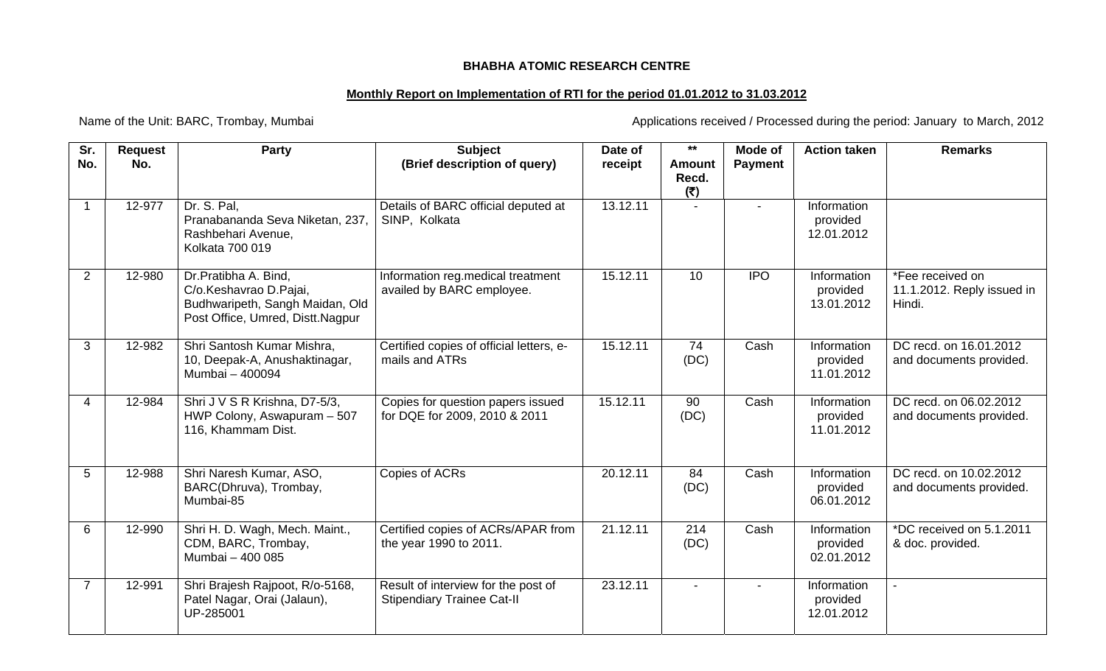## **BHABHA ATOMIC RESEARCH CENTRE**

## **Monthly Report on Implementation of RTI for the period 01.01.2012 to 31.03.2012**

Name of the Unit: BARC, Trombay, Mumbai <br>
Applications received / Processed during the period: January to March, 2012

| Sr.<br>No.     | <b>Request</b><br>No. | <b>Party</b>                                                                                                          | <b>Subject</b><br>(Brief description of query)                           | Date of<br>receipt | $***$<br><b>Amount</b> | Mode of<br><b>Payment</b> | <b>Action taken</b>                   | <b>Remarks</b>                                           |
|----------------|-----------------------|-----------------------------------------------------------------------------------------------------------------------|--------------------------------------------------------------------------|--------------------|------------------------|---------------------------|---------------------------------------|----------------------------------------------------------|
|                |                       |                                                                                                                       |                                                                          |                    | Recd.<br>(5)           |                           |                                       |                                                          |
|                | 12-977                | Dr. S. Pal,<br>Pranabananda Seva Niketan, 237,<br>Rashbehari Avenue,<br>Kolkata 700 019                               | Details of BARC official deputed at<br>SINP, Kolkata                     | 13.12.11           |                        |                           | Information<br>provided<br>12.01.2012 |                                                          |
| $\overline{2}$ | 12-980                | Dr.Pratibha A. Bind,<br>C/o.Keshavrao D.Pajai,<br>Budhwaripeth, Sangh Maidan, Old<br>Post Office, Umred, Distt.Nagpur | Information reg.medical treatment<br>availed by BARC employee.           | 15.12.11           | 10                     | <b>IPO</b>                | Information<br>provided<br>13.01.2012 | *Fee received on<br>11.1.2012. Reply issued in<br>Hindi. |
| 3              | 12-982                | Shri Santosh Kumar Mishra,<br>10, Deepak-A, Anushaktinagar,<br>Mumbai - 400094                                        | Certified copies of official letters, e-<br>mails and ATRs               | 15.12.11           | 74<br>(DC)             | Cash                      | Information<br>provided<br>11.01.2012 | DC recd. on 16.01.2012<br>and documents provided.        |
| 4              | 12-984                | Shri J V S R Krishna, D7-5/3,<br>HWP Colony, Aswapuram - 507<br>116, Khammam Dist.                                    | Copies for question papers issued<br>for DQE for 2009, 2010 & 2011       | 15.12.11           | 90<br>(DC)             | Cash                      | Information<br>provided<br>11.01.2012 | DC recd. on 06.02.2012<br>and documents provided.        |
| 5              | 12-988                | Shri Naresh Kumar, ASO,<br>BARC(Dhruva), Trombay,<br>Mumbai-85                                                        | Copies of ACRs                                                           | 20.12.11           | 84<br>(DC)             | Cash                      | Information<br>provided<br>06.01.2012 | DC recd. on 10.02.2012<br>and documents provided.        |
| 6              | 12-990                | Shri H. D. Wagh, Mech. Maint.,<br>CDM, BARC, Trombay,<br>Mumbai - 400 085                                             | Certified copies of ACRs/APAR from<br>the year 1990 to 2011.             | 21.12.11           | 214<br>(DC)            | Cash                      | Information<br>provided<br>02.01.2012 | *DC received on 5.1.2011<br>& doc. provided.             |
| 7              | 12-991                | Shri Brajesh Rajpoot, R/o-5168,<br>Patel Nagar, Orai (Jalaun),<br>UP-285001                                           | Result of interview for the post of<br><b>Stipendiary Trainee Cat-II</b> | 23.12.11           |                        |                           | Information<br>provided<br>12.01.2012 |                                                          |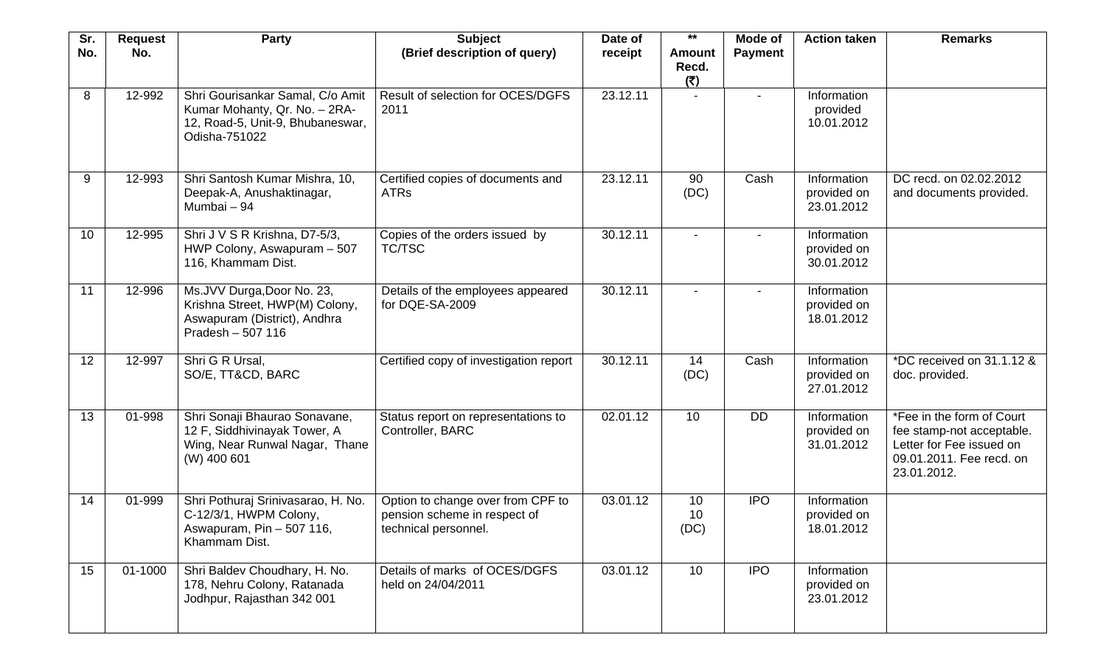| Sr.<br>No. | <b>Request</b><br>No. | Party                                                                                                                  | <b>Subject</b><br>(Brief description of query)                                            | Date of<br>receipt | $***$<br><b>Amount</b> | Mode of<br><b>Payment</b> | <b>Action taken</b>                      | <b>Remarks</b>                                                                                                                |
|------------|-----------------------|------------------------------------------------------------------------------------------------------------------------|-------------------------------------------------------------------------------------------|--------------------|------------------------|---------------------------|------------------------------------------|-------------------------------------------------------------------------------------------------------------------------------|
|            |                       |                                                                                                                        |                                                                                           |                    | Recd.<br>(5)           |                           |                                          |                                                                                                                               |
| 8          | 12-992                | Shri Gourisankar Samal, C/o Amit<br>Kumar Mohanty, Qr. No. - 2RA-<br>12, Road-5, Unit-9, Bhubaneswar,<br>Odisha-751022 | Result of selection for OCES/DGFS<br>2011                                                 | 23.12.11           |                        |                           | Information<br>provided<br>10.01.2012    |                                                                                                                               |
| 9          | 12-993                | Shri Santosh Kumar Mishra, 10,<br>Deepak-A, Anushaktinagar,<br>Mumbai - 94                                             | Certified copies of documents and<br><b>ATRs</b>                                          | 23.12.11           | 90<br>(DC)             | Cash                      | Information<br>provided on<br>23.01.2012 | DC recd. on 02.02.2012<br>and documents provided.                                                                             |
| 10         | 12-995                | Shri J V S R Krishna, D7-5/3,<br>HWP Colony, Aswapuram - 507<br>116, Khammam Dist.                                     | Copies of the orders issued by<br>TC/TSC                                                  | 30.12.11           |                        |                           | Information<br>provided on<br>30.01.2012 |                                                                                                                               |
| 11         | 12-996                | Ms.JVV Durga, Door No. 23,<br>Krishna Street, HWP(M) Colony,<br>Aswapuram (District), Andhra<br>Pradesh - 507 116      | Details of the employees appeared<br>for DQE-SA-2009                                      | 30.12.11           |                        |                           | Information<br>provided on<br>18.01.2012 |                                                                                                                               |
| 12         | 12-997                | Shri G R Ursal,<br>SO/E, TT&CD, BARC                                                                                   | Certified copy of investigation report                                                    | 30.12.11           | 14<br>(DC)             | Cash                      | Information<br>provided on<br>27.01.2012 | *DC received on 31.1.12 &<br>doc. provided.                                                                                   |
| 13         | 01-998                | Shri Sonaji Bhaurao Sonavane,<br>12 F, Siddhivinayak Tower, A<br>Wing, Near Runwal Nagar, Thane<br>(W) 400 601         | Status report on representations to<br>Controller, BARC                                   | 02.01.12           | 10                     | <b>DD</b>                 | Information<br>provided on<br>31.01.2012 | *Fee in the form of Court<br>fee stamp-not acceptable.<br>Letter for Fee issued on<br>09.01.2011. Fee recd. on<br>23.01.2012. |
| 14         | 01-999                | Shri Pothuraj Srinivasarao, H. No.<br>C-12/3/1, HWPM Colony,<br>Aswapuram, Pin - 507 116,<br>Khammam Dist.             | Option to change over from CPF to<br>pension scheme in respect of<br>technical personnel. | 03.01.12           | 10<br>10<br>(DC)       | <b>IPO</b>                | Information<br>provided on<br>18.01.2012 |                                                                                                                               |
| 15         | 01-1000               | Shri Baldev Choudhary, H. No.<br>178, Nehru Colony, Ratanada<br>Jodhpur, Rajasthan 342 001                             | Details of marks of OCES/DGFS<br>held on 24/04/2011                                       | 03.01.12           | 10                     | <b>IPO</b>                | Information<br>provided on<br>23.01.2012 |                                                                                                                               |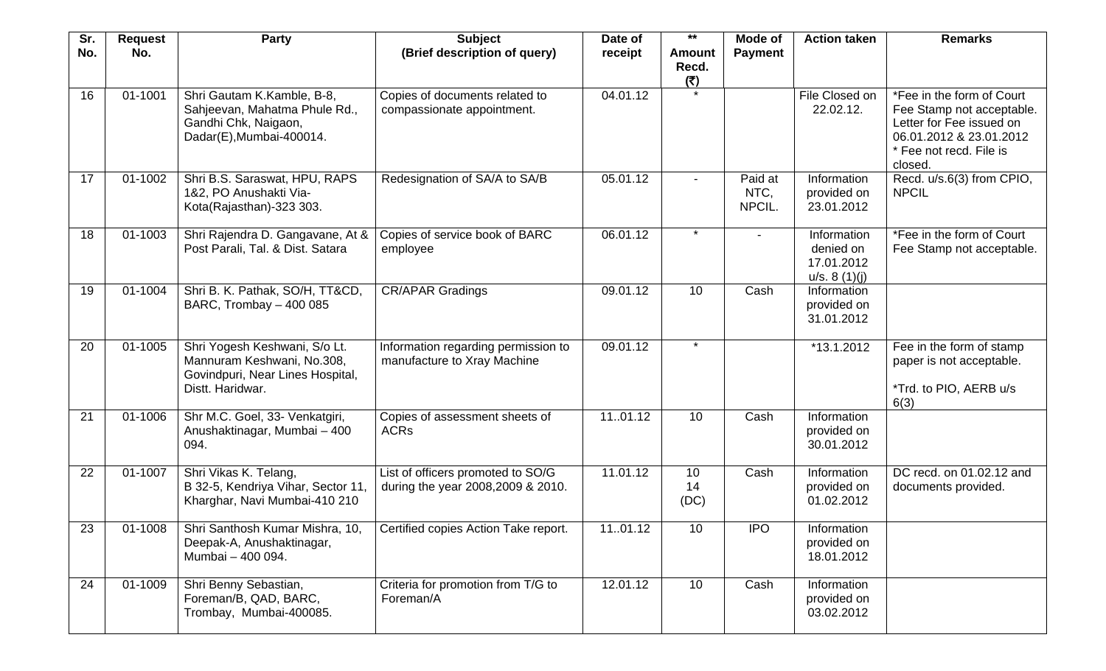| Sr.<br>No. | <b>Request</b><br>No. | Party                                                                                                               | <b>Subject</b><br>(Brief description of query)                          | Date of<br>receipt | $***$<br><b>Amount</b><br>Recd.<br>(5) | <b>Mode of</b><br><b>Payment</b> | <b>Action taken</b>                                    | <b>Remarks</b>                                                                                                                                      |
|------------|-----------------------|---------------------------------------------------------------------------------------------------------------------|-------------------------------------------------------------------------|--------------------|----------------------------------------|----------------------------------|--------------------------------------------------------|-----------------------------------------------------------------------------------------------------------------------------------------------------|
| 16         | 01-1001               | Shri Gautam K.Kamble, B-8,<br>Sahjeevan, Mahatma Phule Rd.,<br>Gandhi Chk, Naigaon,<br>Dadar(E), Mumbai-400014.     | Copies of documents related to<br>compassionate appointment.            | 04.01.12           | $\star$                                |                                  | File Closed on<br>22.02.12.                            | *Fee in the form of Court<br>Fee Stamp not acceptable.<br>Letter for Fee issued on<br>06.01.2012 & 23.01.2012<br>* Fee not recd. File is<br>closed. |
| 17         | 01-1002               | Shri B.S. Saraswat, HPU, RAPS<br>1&2, PO Anushakti Via-<br>Kota(Rajasthan)-323 303.                                 | Redesignation of SA/A to SA/B                                           | 05.01.12           | $\overline{\phantom{a}}$               | Paid at<br>NTC,<br>NPCIL.        | Information<br>provided on<br>23.01.2012               | Recd. u/s.6(3) from CPIO,<br><b>NPCIL</b>                                                                                                           |
| 18         | 01-1003               | Shri Rajendra D. Gangavane, At &<br>Post Parali, Tal. & Dist. Satara                                                | Copies of service book of BARC<br>employee                              | 06.01.12           | $\star$                                |                                  | Information<br>denied on<br>17.01.2012<br>u/s. 8(1)(j) | *Fee in the form of Court<br>Fee Stamp not acceptable.                                                                                              |
| 19         | 01-1004               | Shri B. K. Pathak, SO/H, TT&CD,<br>BARC, Trombay - 400 085                                                          | <b>CR/APAR Gradings</b>                                                 | 09.01.12           | 10                                     | Cash                             | Information<br>provided on<br>31.01.2012               |                                                                                                                                                     |
| 20         | 01-1005               | Shri Yogesh Keshwani, S/o Lt.<br>Mannuram Keshwani, No.308,<br>Govindpuri, Near Lines Hospital,<br>Distt. Haridwar. | Information regarding permission to<br>manufacture to Xray Machine      | 09.01.12           | $\star$                                |                                  | *13.1.2012                                             | Fee in the form of stamp<br>paper is not acceptable.<br>*Trd. to PIO, AERB u/s<br>6(3)                                                              |
| 21         | 01-1006               | Shr M.C. Goel, 33- Venkatgiri,<br>Anushaktinagar, Mumbai - 400<br>094.                                              | Copies of assessment sheets of<br><b>ACRs</b>                           | 1101.12            | 10                                     | Cash                             | Information<br>provided on<br>30.01.2012               |                                                                                                                                                     |
| 22         | 01-1007               | Shri Vikas K. Telang,<br>B 32-5, Kendriya Vihar, Sector 11,<br>Kharghar, Navi Mumbai-410 210                        | List of officers promoted to SO/G<br>during the year 2008, 2009 & 2010. | 11.01.12           | 10<br>14<br>(DC)                       | Cash                             | Information<br>provided on<br>01.02.2012               | DC recd. on 01.02.12 and<br>documents provided.                                                                                                     |
| 23         | 01-1008               | Shri Santhosh Kumar Mishra, 10,<br>Deepak-A, Anushaktinagar,<br>Mumbai - 400 094.                                   | Certified copies Action Take report.                                    | 1101.12            | 10                                     | <b>IPO</b>                       | Information<br>provided on<br>18.01.2012               |                                                                                                                                                     |
| 24         | 01-1009               | Shri Benny Sebastian,<br>Foreman/B, QAD, BARC,<br>Trombay, Mumbai-400085.                                           | Criteria for promotion from T/G to<br>Foreman/A                         | 12.01.12           | 10                                     | Cash                             | Information<br>provided on<br>03.02.2012               |                                                                                                                                                     |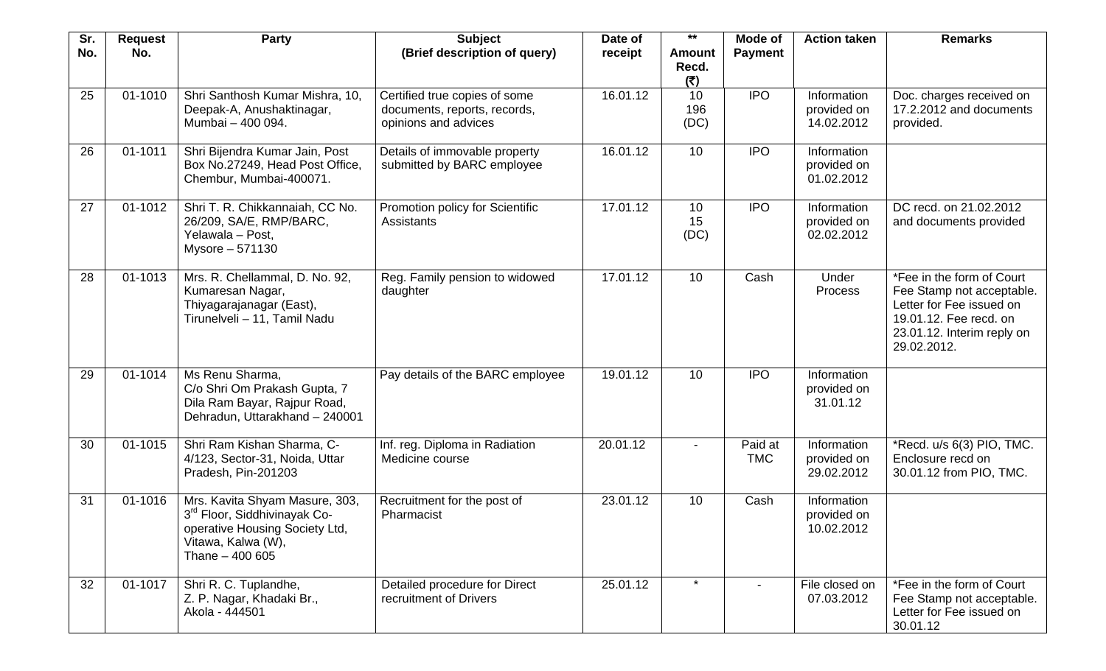| Sr.<br>No. | <b>Request</b><br>No. | Party                                                                                                                                                 | <b>Subject</b><br>(Brief description of query)                                        | Date of<br>receipt | $***$<br><b>Amount</b><br>Recd.<br>(5) | Mode of<br><b>Payment</b> | <b>Action taken</b>                      | <b>Remarks</b>                                                                                                                                            |
|------------|-----------------------|-------------------------------------------------------------------------------------------------------------------------------------------------------|---------------------------------------------------------------------------------------|--------------------|----------------------------------------|---------------------------|------------------------------------------|-----------------------------------------------------------------------------------------------------------------------------------------------------------|
| 25         | 01-1010               | Shri Santhosh Kumar Mishra, 10,<br>Deepak-A, Anushaktinagar,<br>Mumbai - 400 094.                                                                     | Certified true copies of some<br>documents, reports, records,<br>opinions and advices | 16.01.12           | 10<br>196<br>(DC)                      | <b>IPO</b>                | Information<br>provided on<br>14.02.2012 | Doc. charges received on<br>17.2.2012 and documents<br>provided.                                                                                          |
| 26         | 01-1011               | Shri Bijendra Kumar Jain, Post<br>Box No.27249, Head Post Office,<br>Chembur, Mumbai-400071.                                                          | Details of immovable property<br>submitted by BARC employee                           | 16.01.12           | 10                                     | <b>IPO</b>                | Information<br>provided on<br>01.02.2012 |                                                                                                                                                           |
| 27         | 01-1012               | Shri T. R. Chikkannaiah, CC No.<br>26/209, SA/E, RMP/BARC,<br>Yelawala - Post,<br>Mysore - 571130                                                     | Promotion policy for Scientific<br><b>Assistants</b>                                  | 17.01.12           | 10<br>15<br>(DC)                       | <b>IPO</b>                | Information<br>provided on<br>02.02.2012 | DC recd. on 21.02.2012<br>and documents provided                                                                                                          |
| 28         | 01-1013               | Mrs. R. Chellammal, D. No. 92,<br>Kumaresan Nagar,<br>Thiyagarajanagar (East),<br>Tirunelveli - 11, Tamil Nadu                                        | Reg. Family pension to widowed<br>daughter                                            | 17.01.12           | 10                                     | Cash                      | Under<br>Process                         | *Fee in the form of Court<br>Fee Stamp not acceptable.<br>Letter for Fee issued on<br>19.01.12. Fee recd. on<br>23.01.12. Interim reply on<br>29.02.2012. |
| 29         | 01-1014               | Ms Renu Sharma,<br>C/o Shri Om Prakash Gupta, 7<br>Dila Ram Bayar, Rajpur Road,<br>Dehradun, Uttarakhand - 240001                                     | Pay details of the BARC employee                                                      | 19.01.12           | 10                                     | <b>IPO</b>                | Information<br>provided on<br>31.01.12   |                                                                                                                                                           |
| 30         | 01-1015               | Shri Ram Kishan Sharma, C-<br>4/123, Sector-31, Noida, Uttar<br>Pradesh, Pin-201203                                                                   | Inf. reg. Diploma in Radiation<br>Medicine course                                     | 20.01.12           |                                        | Paid at<br><b>TMC</b>     | Information<br>provided on<br>29.02.2012 | *Recd. u/s 6(3) PIO, TMC.<br>Enclosure recd on<br>30.01.12 from PIO, TMC.                                                                                 |
| 31         | 01-1016               | Mrs. Kavita Shyam Masure, 303,<br>3 <sup>rd</sup> Floor, Siddhivinayak Co-<br>operative Housing Society Ltd,<br>Vitawa, Kalwa (W),<br>Thane - 400 605 | Recruitment for the post of<br>Pharmacist                                             | 23.01.12           | 10                                     | Cash                      | Information<br>provided on<br>10.02.2012 |                                                                                                                                                           |
| 32         | 01-1017               | Shri R. C. Tuplandhe,<br>Z. P. Nagar, Khadaki Br.,<br>Akola - 444501                                                                                  | Detailed procedure for Direct<br>recruitment of Drivers                               | 25.01.12           |                                        |                           | File closed on<br>07.03.2012             | *Fee in the form of Court<br>Fee Stamp not acceptable.<br>Letter for Fee issued on<br>30.01.12                                                            |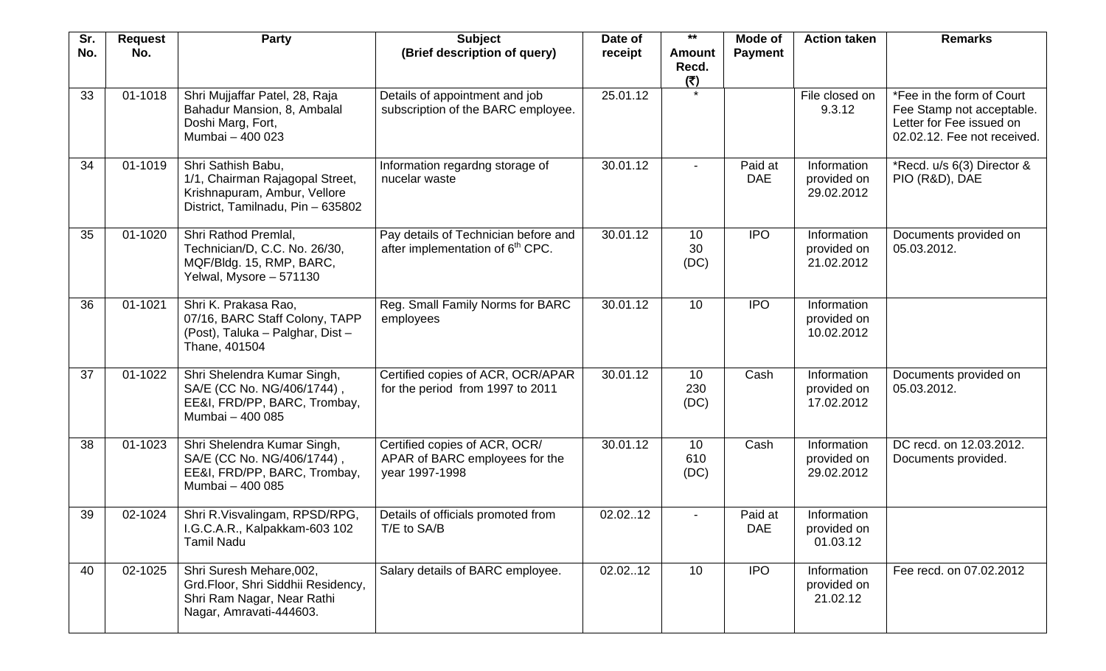| Sr.<br>No. | <b>Request</b><br>No. | Party                                                                                                                      | <b>Subject</b><br>(Brief description of query)                                       | Date of<br>receipt | $***$<br><b>Amount</b>   | Mode of<br><b>Payment</b> | <b>Action taken</b>                      | <b>Remarks</b>                                                                                                    |
|------------|-----------------------|----------------------------------------------------------------------------------------------------------------------------|--------------------------------------------------------------------------------------|--------------------|--------------------------|---------------------------|------------------------------------------|-------------------------------------------------------------------------------------------------------------------|
|            |                       |                                                                                                                            |                                                                                      |                    | Recd.<br>(₹)             |                           |                                          |                                                                                                                   |
| 33         | 01-1018               | Shri Mujjaffar Patel, 28, Raja<br>Bahadur Mansion, 8, Ambalal<br>Doshi Marg, Fort,<br>Mumbai - 400 023                     | Details of appointment and job<br>subscription of the BARC employee.                 | 25.01.12           |                          |                           | File closed on<br>9.3.12                 | *Fee in the form of Court<br>Fee Stamp not acceptable.<br>Letter for Fee issued on<br>02.02.12. Fee not received. |
| 34         | 01-1019               | Shri Sathish Babu,<br>1/1, Chairman Rajagopal Street,<br>Krishnapuram, Ambur, Vellore<br>District, Tamilnadu, Pin - 635802 | Information regardng storage of<br>nucelar waste                                     | 30.01.12           | $\overline{\phantom{a}}$ | Paid at<br><b>DAE</b>     | Information<br>provided on<br>29.02.2012 | *Recd. u/s 6(3) Director &<br>PIO (R&D), DAE                                                                      |
| 35         | 01-1020               | Shri Rathod Premlal,<br>Technician/D, C.C. No. 26/30,<br>MQF/Bldg. 15, RMP, BARC,<br>Yelwal, Mysore - 571130               | Pay details of Technician before and<br>after implementation of 6 <sup>th</sup> CPC. | 30.01.12           | 10<br>30<br>(DC)         | <b>IPO</b>                | Information<br>provided on<br>21.02.2012 | Documents provided on<br>05.03.2012.                                                                              |
| 36         | 01-1021               | Shri K. Prakasa Rao,<br>07/16, BARC Staff Colony, TAPP<br>(Post), Taluka - Palghar, Dist -<br>Thane, 401504                | Reg. Small Family Norms for BARC<br>employees                                        | 30.01.12           | 10                       | <b>IPO</b>                | Information<br>provided on<br>10.02.2012 |                                                                                                                   |
| 37         | 01-1022               | Shri Shelendra Kumar Singh,<br>SA/E (CC No. NG/406/1744),<br>EE&I, FRD/PP, BARC, Trombay,<br>Mumbai - 400 085              | Certified copies of ACR, OCR/APAR<br>for the period from 1997 to 2011                | 30.01.12           | 10<br>230<br>(DC)        | Cash                      | Information<br>provided on<br>17.02.2012 | Documents provided on<br>05.03.2012.                                                                              |
| 38         | 01-1023               | Shri Shelendra Kumar Singh,<br>SA/E (CC No. NG/406/1744),<br>EE&I, FRD/PP, BARC, Trombay,<br>Mumbai - 400 085              | Certified copies of ACR, OCR/<br>APAR of BARC employees for the<br>year 1997-1998    | 30.01.12           | 10<br>610<br>(DC)        | Cash                      | Information<br>provided on<br>29.02.2012 | DC recd. on 12.03.2012.<br>Documents provided.                                                                    |
| 39         | 02-1024               | Shri R.Visvalingam, RPSD/RPG,<br>I.G.C.A.R., Kalpakkam-603 102<br><b>Tamil Nadu</b>                                        | Details of officials promoted from<br>T/E to SA/B                                    | 02.0212            | $\blacksquare$           | Paid at<br><b>DAE</b>     | Information<br>provided on<br>01.03.12   |                                                                                                                   |
| 40         | 02-1025               | Shri Suresh Mehare, 002,<br>Grd.Floor, Shri Siddhii Residency,<br>Shri Ram Nagar, Near Rathi<br>Nagar, Amravati-444603.    | Salary details of BARC employee.                                                     | 02.02.12           | 10                       | <b>IPO</b>                | Information<br>provided on<br>21.02.12   | Fee recd. on 07.02.2012                                                                                           |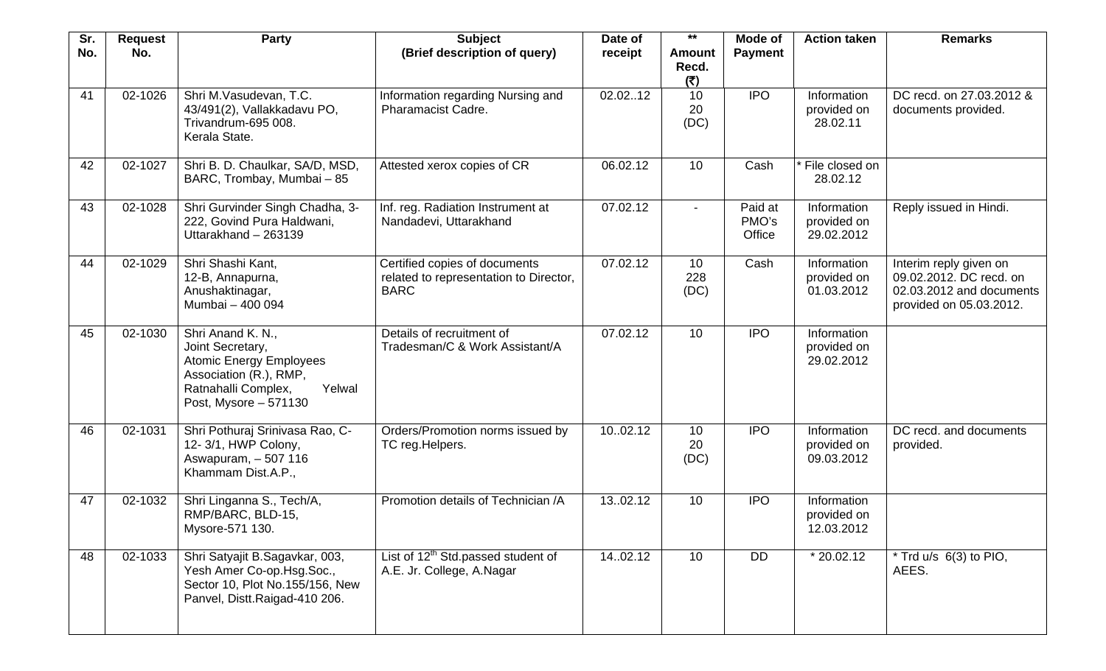| Sr.<br>No. | <b>Request</b><br>No. | Party                                                                                                                                                       | <b>Subject</b><br>(Brief description of query)                                         | Date of<br>receipt | $***$<br><b>Amount</b><br>Recd. | Mode of<br><b>Payment</b>  | <b>Action taken</b>                      | <b>Remarks</b>                                                                                           |
|------------|-----------------------|-------------------------------------------------------------------------------------------------------------------------------------------------------------|----------------------------------------------------------------------------------------|--------------------|---------------------------------|----------------------------|------------------------------------------|----------------------------------------------------------------------------------------------------------|
| 41         | 02-1026               | Shri M.Vasudevan, T.C.<br>43/491(2), Vallakkadavu PO,<br>Trivandrum-695 008.<br>Kerala State.                                                               | Information regarding Nursing and<br><b>Pharamacist Cadre.</b>                         | 02.0212            | (5)<br>10<br>20<br>(DC)         | <b>IPO</b>                 | Information<br>provided on<br>28.02.11   | DC recd. on 27.03.2012 &<br>documents provided.                                                          |
| 42         | 02-1027               | Shri B. D. Chaulkar, SA/D, MSD,<br>BARC, Trombay, Mumbai - 85                                                                                               | Attested xerox copies of CR                                                            | 06.02.12           | 10                              | Cash                       | File closed on<br>28.02.12               |                                                                                                          |
| 43         | 02-1028               | Shri Gurvinder Singh Chadha, 3-<br>222, Govind Pura Haldwani,<br>Uttarakhand - 263139                                                                       | Inf. reg. Radiation Instrument at<br>Nandadevi, Uttarakhand                            | 07.02.12           |                                 | Paid at<br>PMO's<br>Office | Information<br>provided on<br>29.02.2012 | Reply issued in Hindi.                                                                                   |
| 44         | 02-1029               | Shri Shashi Kant,<br>12-B, Annapurna,<br>Anushaktinagar,<br>Mumbai - 400 094                                                                                | Certified copies of documents<br>related to representation to Director,<br><b>BARC</b> | 07.02.12           | 10<br>228<br>(DC)               | Cash                       | Information<br>provided on<br>01.03.2012 | Interim reply given on<br>09.02.2012. DC recd. on<br>02.03.2012 and documents<br>provided on 05.03.2012. |
| 45         | 02-1030               | Shri Anand K. N.,<br>Joint Secretary,<br><b>Atomic Energy Employees</b><br>Association (R.), RMP,<br>Yelwal<br>Ratnahalli Complex,<br>Post, Mysore - 571130 | Details of recruitment of<br>Tradesman/C & Work Assistant/A                            | 07.02.12           | 10                              | <b>IPO</b>                 | Information<br>provided on<br>29.02.2012 |                                                                                                          |
| 46         | 02-1031               | Shri Pothuraj Srinivasa Rao, C-<br>12-3/1, HWP Colony,<br>Aswapuram, - 507 116<br>Khammam Dist.A.P.,                                                        | Orders/Promotion norms issued by<br>TC reg.Helpers.                                    | 1002.12            | 10<br>20<br>(DC)                | <b>IPO</b>                 | Information<br>provided on<br>09.03.2012 | DC recd. and documents<br>provided.                                                                      |
| 47         | 02-1032               | Shri Linganna S., Tech/A,<br>RMP/BARC, BLD-15,<br>Mysore-571 130.                                                                                           | Promotion details of Technician /A                                                     | 13.02.12           | 10                              | <b>IPO</b>                 | Information<br>provided on<br>12.03.2012 |                                                                                                          |
| 48         | 02-1033               | Shri Satyajit B.Sagavkar, 003,<br>Yesh Amer Co-op.Hsg.Soc.,<br>Sector 10, Plot No.155/156, New<br>Panvel, Distt.Raigad-410 206.                             | List of 12 <sup>th</sup> Std.passed student of<br>A.E. Jr. College, A.Nagar            | 14.02.12           | 10                              | <b>DD</b>                  | $*$ 20.02.12                             | $*$ Trd u/s $6(3)$ to PIO,<br>AEES.                                                                      |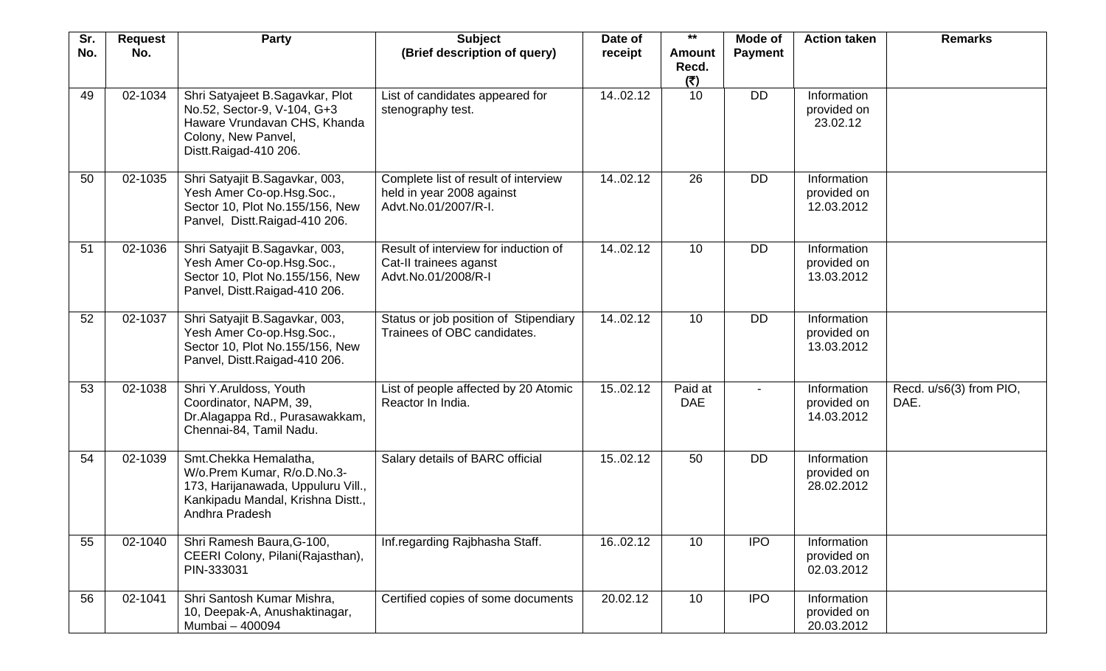| Sr. | <b>Request</b> | Party                                                                                                                                             | <b>Subject</b>                                                                            | Date of  | $***$                         | Mode of        | <b>Action taken</b>                      | <b>Remarks</b>                  |
|-----|----------------|---------------------------------------------------------------------------------------------------------------------------------------------------|-------------------------------------------------------------------------------------------|----------|-------------------------------|----------------|------------------------------------------|---------------------------------|
| No. | No.            |                                                                                                                                                   | (Brief description of query)                                                              | receipt  | <b>Amount</b><br>Recd.<br>(5) | <b>Payment</b> |                                          |                                 |
| 49  | 02-1034        | Shri Satyajeet B.Sagavkar, Plot<br>No.52, Sector-9, V-104, G+3<br>Haware Vrundavan CHS, Khanda<br>Colony, New Panvel,<br>Distt.Raigad-410 206.    | List of candidates appeared for<br>stenography test.                                      | 14.02.12 | 10                            | <b>DD</b>      | Information<br>provided on<br>23.02.12   |                                 |
| 50  | 02-1035        | Shri Satyajit B.Sagavkar, 003,<br>Yesh Amer Co-op.Hsg.Soc.,<br>Sector 10, Plot No.155/156, New<br>Panvel, Distt.Raigad-410 206.                   | Complete list of result of interview<br>held in year 2008 against<br>Advt.No.01/2007/R-I. | 14.02.12 | 26                            | DD             | Information<br>provided on<br>12.03.2012 |                                 |
| 51  | 02-1036        | Shri Satyajit B.Sagavkar, 003,<br>Yesh Amer Co-op.Hsg.Soc.,<br>Sector 10, Plot No.155/156, New<br>Panvel, Distt.Raigad-410 206.                   | Result of interview for induction of<br>Cat-II trainees aganst<br>Advt.No.01/2008/R-I     | 14.02.12 | 10                            | <b>DD</b>      | Information<br>provided on<br>13.03.2012 |                                 |
| 52  | 02-1037        | Shri Satyajit B.Sagavkar, 003,<br>Yesh Amer Co-op.Hsg.Soc.,<br>Sector 10, Plot No.155/156, New<br>Panvel, Distt.Raigad-410 206.                   | Status or job position of Stipendiary<br>Trainees of OBC candidates.                      | 14.02.12 | 10                            | <b>DD</b>      | Information<br>provided on<br>13.03.2012 |                                 |
| 53  | 02-1038        | Shri Y.Aruldoss, Youth<br>Coordinator, NAPM, 39,<br>Dr.Alagappa Rd., Purasawakkam,<br>Chennai-84, Tamil Nadu.                                     | List of people affected by 20 Atomic<br>Reactor In India.                                 | 15.02.12 | Paid at<br><b>DAE</b>         |                | Information<br>provided on<br>14.03.2012 | Recd. u/s6(3) from PIO,<br>DAE. |
| 54  | 02-1039        | Smt.Chekka Hemalatha,<br>W/o.Prem Kumar, R/o.D.No.3-<br>173, Harijanawada, Uppuluru Vill.,<br>Kankipadu Mandal, Krishna Distt.,<br>Andhra Pradesh | Salary details of BARC official                                                           | 1502.12  | 50                            | <b>DD</b>      | Information<br>provided on<br>28.02.2012 |                                 |
| 55  | 02-1040        | Shri Ramesh Baura, G-100,<br>CEERI Colony, Pilani(Rajasthan),<br>PIN-333031                                                                       | Inf.regarding Rajbhasha Staff.                                                            | 16.02.12 | 10                            | <b>IPO</b>     | Information<br>provided on<br>02.03.2012 |                                 |
| 56  | 02-1041        | Shri Santosh Kumar Mishra,<br>10, Deepak-A, Anushaktinagar,<br>Mumbai - 400094                                                                    | Certified copies of some documents                                                        | 20.02.12 | 10                            | <b>IPO</b>     | Information<br>provided on<br>20.03.2012 |                                 |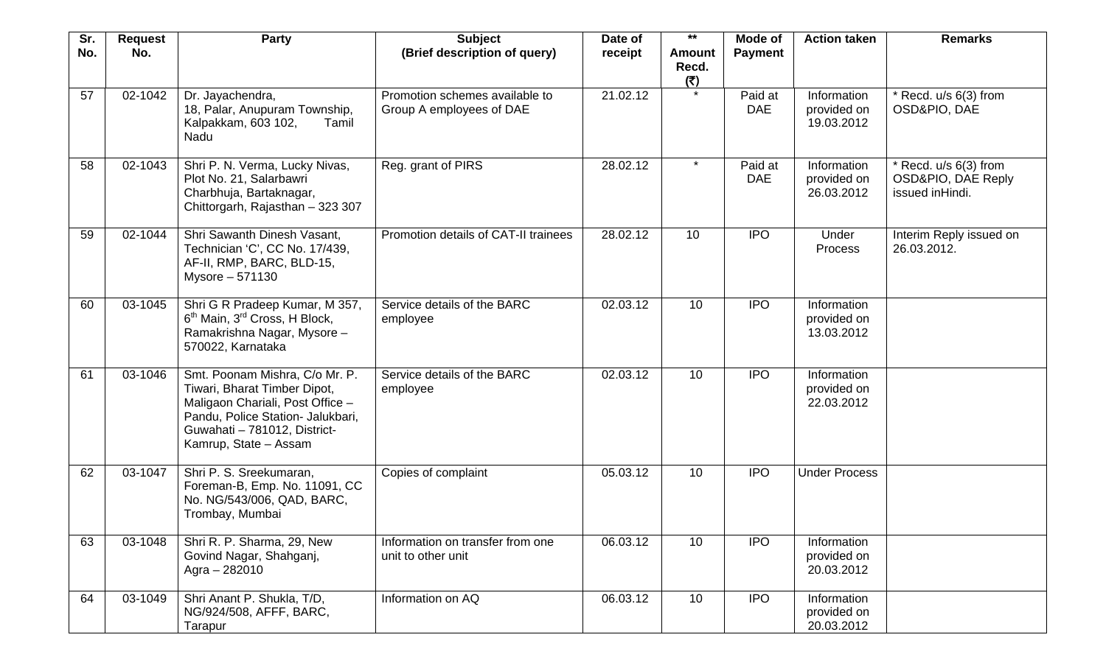| Sr. | <b>Request</b> | <b>Party</b>                                                                                                                                                                                     | <b>Subject</b>                                             | Date of  | $***$                         | Mode of               | <b>Action taken</b>                      | <b>Remarks</b>                                                     |
|-----|----------------|--------------------------------------------------------------------------------------------------------------------------------------------------------------------------------------------------|------------------------------------------------------------|----------|-------------------------------|-----------------------|------------------------------------------|--------------------------------------------------------------------|
| No. | No.            |                                                                                                                                                                                                  | (Brief description of query)                               | receipt  | <b>Amount</b><br>Recd.<br>(5) | <b>Payment</b>        |                                          |                                                                    |
| 57  | 02-1042        | Dr. Jayachendra,<br>18, Palar, Anupuram Township,<br>Kalpakkam, 603 102,<br>Tamil<br>Nadu                                                                                                        | Promotion schemes available to<br>Group A employees of DAE | 21.02.12 |                               | Paid at<br><b>DAE</b> | Information<br>provided on<br>19.03.2012 | $*$ Recd. $u/s$ 6(3) from<br>OSD&PIO, DAE                          |
| 58  | 02-1043        | Shri P. N. Verma, Lucky Nivas,<br>Plot No. 21, Salarbawri<br>Charbhuja, Bartaknagar,<br>Chittorgarh, Rajasthan - 323 307                                                                         | Reg. grant of PIRS                                         | 28.02.12 | $\star$                       | Paid at<br><b>DAE</b> | Information<br>provided on<br>26.03.2012 | $*$ Recd. u/s $6(3)$ from<br>OSD&PIO, DAE Reply<br>issued inHindi. |
| 59  | 02-1044        | Shri Sawanth Dinesh Vasant,<br>Technician 'C', CC No. 17/439,<br>AF-II, RMP, BARC, BLD-15,<br>Mysore - 571130                                                                                    | Promotion details of CAT-II trainees                       | 28.02.12 | 10                            | <b>IPO</b>            | Under<br><b>Process</b>                  | Interim Reply issued on<br>26.03.2012.                             |
| 60  | 03-1045        | Shri G R Pradeep Kumar, M 357,<br>6 <sup>th</sup> Main, 3 <sup>rd</sup> Cross, H Block,<br>Ramakrishna Nagar, Mysore -<br>570022, Karnataka                                                      | Service details of the BARC<br>employee                    | 02.03.12 | 10                            | <b>IPO</b>            | Information<br>provided on<br>13.03.2012 |                                                                    |
| 61  | 03-1046        | Smt. Poonam Mishra, C/o Mr. P.<br>Tiwari, Bharat Timber Dipot,<br>Maligaon Chariali, Post Office -<br>Pandu, Police Station- Jalukbari,<br>Guwahati - 781012, District-<br>Kamrup, State - Assam | Service details of the BARC<br>employee                    | 02.03.12 | 10                            | <b>IPO</b>            | Information<br>provided on<br>22.03.2012 |                                                                    |
| 62  | 03-1047        | Shri P. S. Sreekumaran,<br>Foreman-B, Emp. No. 11091, CC<br>No. NG/543/006, QAD, BARC,<br>Trombay, Mumbai                                                                                        | Copies of complaint                                        | 05.03.12 | 10                            | <b>IPO</b>            | <b>Under Process</b>                     |                                                                    |
| 63  | 03-1048        | Shri R. P. Sharma, 29, New<br>Govind Nagar, Shahganj,<br>Agra - 282010                                                                                                                           | Information on transfer from one<br>unit to other unit     | 06.03.12 | 10                            | <b>IPO</b>            | Information<br>provided on<br>20.03.2012 |                                                                    |
| 64  | 03-1049        | Shri Anant P. Shukla, T/D,<br>NG/924/508, AFFF, BARC,<br>Tarapur                                                                                                                                 | Information on AQ                                          | 06.03.12 | 10                            | <b>IPO</b>            | Information<br>provided on<br>20.03.2012 |                                                                    |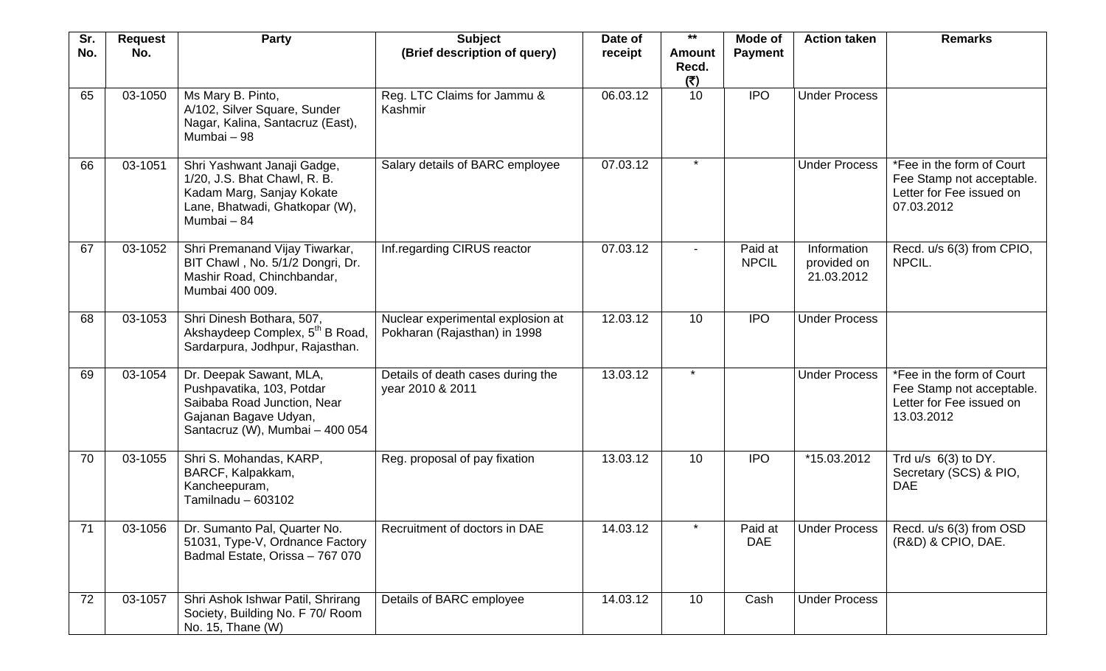| Sr. | <b>Request</b> | Party                                                                                                                                           | <b>Subject</b>                                                    | Date of  | $***$                         | Mode of                 | <b>Action taken</b>                      | <b>Remarks</b>                                                                                   |
|-----|----------------|-------------------------------------------------------------------------------------------------------------------------------------------------|-------------------------------------------------------------------|----------|-------------------------------|-------------------------|------------------------------------------|--------------------------------------------------------------------------------------------------|
| No. | No.            |                                                                                                                                                 | (Brief description of query)                                      | receipt  | <b>Amount</b><br>Recd.<br>(5) | <b>Payment</b>          |                                          |                                                                                                  |
| 65  | 03-1050        | Ms Mary B. Pinto,<br>A/102, Silver Square, Sunder<br>Nagar, Kalina, Santacruz (East),<br>Mumbai - 98                                            | Reg. LTC Claims for Jammu &<br>Kashmir                            | 06.03.12 | 10                            | <b>IPO</b>              | <b>Under Process</b>                     |                                                                                                  |
| 66  | 03-1051        | Shri Yashwant Janaji Gadge,<br>1/20, J.S. Bhat Chawl, R. B.<br>Kadam Marg, Sanjay Kokate<br>Lane, Bhatwadi, Ghatkopar (W),<br>Mumbai - 84       | Salary details of BARC employee                                   | 07.03.12 | $\star$                       |                         | <b>Under Process</b>                     | *Fee in the form of Court<br>Fee Stamp not acceptable.<br>Letter for Fee issued on<br>07.03.2012 |
| 67  | 03-1052        | Shri Premanand Vijay Tiwarkar,<br>BIT Chawl, No. 5/1/2 Dongri, Dr.<br>Mashir Road, Chinchbandar,<br>Mumbai 400 009.                             | <b>Inf.regarding CIRUS reactor</b>                                | 07.03.12 |                               | Paid at<br><b>NPCIL</b> | Information<br>provided on<br>21.03.2012 | Recd. u/s 6(3) from CPIO,<br>NPCIL.                                                              |
| 68  | 03-1053        | Shri Dinesh Bothara, 507,<br>Akshaydeep Complex, 5 <sup>th</sup> B Road,<br>Sardarpura, Jodhpur, Rajasthan.                                     | Nuclear experimental explosion at<br>Pokharan (Rajasthan) in 1998 | 12.03.12 | 10                            | <b>IPO</b>              | <b>Under Process</b>                     |                                                                                                  |
| 69  | 03-1054        | Dr. Deepak Sawant, MLA,<br>Pushpavatika, 103, Potdar<br>Saibaba Road Junction, Near<br>Gajanan Bagave Udyan,<br>Santacruz (W), Mumbai - 400 054 | Details of death cases during the<br>year 2010 & 2011             | 13.03.12 | $\star$                       |                         | <b>Under Process</b>                     | *Fee in the form of Court<br>Fee Stamp not acceptable.<br>Letter for Fee issued on<br>13.03.2012 |
| 70  | 03-1055        | Shri S. Mohandas, KARP,<br>BARCF, Kalpakkam,<br>Kancheepuram,<br>Tamilnadu - 603102                                                             | Reg. proposal of pay fixation                                     | 13.03.12 | 10                            | <b>IPO</b>              | *15.03.2012                              | Trd $u/s$ 6(3) to DY.<br>Secretary (SCS) & PIO,<br><b>DAE</b>                                    |
| 71  | 03-1056        | Dr. Sumanto Pal, Quarter No.<br>51031, Type-V, Ordnance Factory<br>Badmal Estate, Orissa - 767 070                                              | Recruitment of doctors in DAE                                     | 14.03.12 | $\star$                       | Paid at<br><b>DAE</b>   | <b>Under Process</b>                     | Recd. u/s 6(3) from OSD<br>(R&D) & CPIO, DAE.                                                    |
| 72  | 03-1057        | Shri Ashok Ishwar Patil, Shrirang<br>Society, Building No. F 70/ Room<br>No. 15, Thane (W)                                                      | Details of BARC employee                                          | 14.03.12 | 10                            | Cash                    | <b>Under Process</b>                     |                                                                                                  |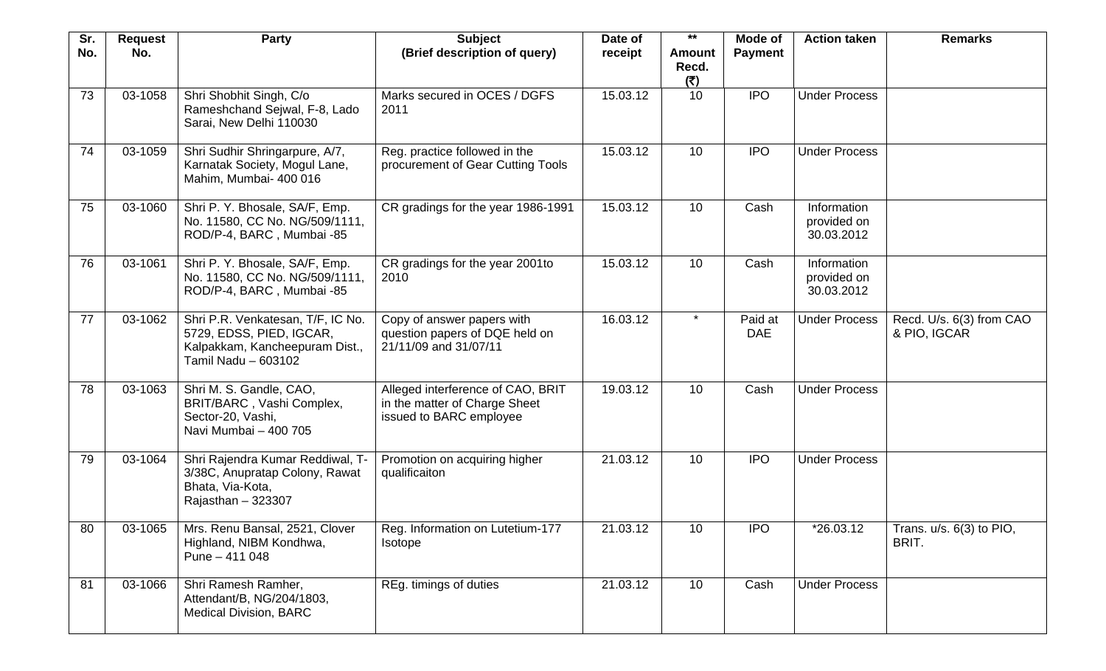| Sr.<br>No. | <b>Request</b><br>No. | Party                                                                                                                  | <b>Subject</b><br>(Brief description of query)                                                | Date of<br>receipt | $***$<br><b>Amount</b><br>Recd. | <b>Mode of</b><br><b>Payment</b> | <b>Action taken</b>                      | <b>Remarks</b>                           |
|------------|-----------------------|------------------------------------------------------------------------------------------------------------------------|-----------------------------------------------------------------------------------------------|--------------------|---------------------------------|----------------------------------|------------------------------------------|------------------------------------------|
| 73         | 03-1058               | Shri Shobhit Singh, C/o<br>Rameshchand Sejwal, F-8, Lado<br>Sarai, New Delhi 110030                                    | Marks secured in OCES / DGFS<br>2011                                                          | 15.03.12           | (5)<br>10                       | <b>IPO</b>                       | <b>Under Process</b>                     |                                          |
| 74         | 03-1059               | Shri Sudhir Shringarpure, A/7,<br>Karnatak Society, Mogul Lane,<br>Mahim, Mumbai- 400 016                              | Reg. practice followed in the<br>procurement of Gear Cutting Tools                            | 15.03.12           | 10 <sup>°</sup>                 | <b>IPO</b>                       | <b>Under Process</b>                     |                                          |
| 75         | 03-1060               | Shri P. Y. Bhosale, SA/F, Emp.<br>No. 11580, CC No. NG/509/1111,<br>ROD/P-4, BARC, Mumbai -85                          | CR gradings for the year 1986-1991                                                            | 15.03.12           | 10                              | Cash                             | Information<br>provided on<br>30.03.2012 |                                          |
| 76         | 03-1061               | Shri P. Y. Bhosale, SA/F, Emp.<br>No. 11580, CC No. NG/509/1111,<br>ROD/P-4, BARC, Mumbai -85                          | CR gradings for the year 2001 to<br>2010                                                      | 15.03.12           | 10 <sup>°</sup>                 | Cash                             | Information<br>provided on<br>30.03.2012 |                                          |
| 77         | 03-1062               | Shri P.R. Venkatesan, T/F, IC No.<br>5729, EDSS, PIED, IGCAR,<br>Kalpakkam, Kancheepuram Dist.,<br>Tamil Nadu - 603102 | Copy of answer papers with<br>question papers of DQE held on<br>21/11/09 and 31/07/11         | 16.03.12           |                                 | Paid at<br><b>DAE</b>            | <b>Under Process</b>                     | Recd. U/s. 6(3) from CAO<br>& PIO, IGCAR |
| 78         | 03-1063               | Shri M. S. Gandle, CAO,<br>BRIT/BARC, Vashi Complex,<br>Sector-20, Vashi,<br>Navi Mumbai - 400 705                     | Alleged interference of CAO, BRIT<br>in the matter of Charge Sheet<br>issued to BARC employee | 19.03.12           | 10                              | Cash                             | <b>Under Process</b>                     |                                          |
| 79         | 03-1064               | Shri Rajendra Kumar Reddiwal, T-<br>3/38C, Anupratap Colony, Rawat<br>Bhata, Via-Kota,<br>Rajasthan $-323307$          | Promotion on acquiring higher<br>qualificaiton                                                | 21.03.12           | 10                              | <b>IPO</b>                       | <b>Under Process</b>                     |                                          |
| 80         | 03-1065               | Mrs. Renu Bansal, 2521, Clover<br>Highland, NIBM Kondhwa,<br>Pune - 411 048                                            | Reg. Information on Lutetium-177<br><b>Isotope</b>                                            | 21.03.12           | 10                              | <b>IPO</b>                       | *26.03.12                                | Trans. $u/s. 6(3)$ to PIO,<br>BRIT.      |
| 81         | 03-1066               | Shri Ramesh Ramher,<br>Attendant/B, NG/204/1803,<br><b>Medical Division, BARC</b>                                      | REg. timings of duties                                                                        | 21.03.12           | 10                              | Cash                             | <b>Under Process</b>                     |                                          |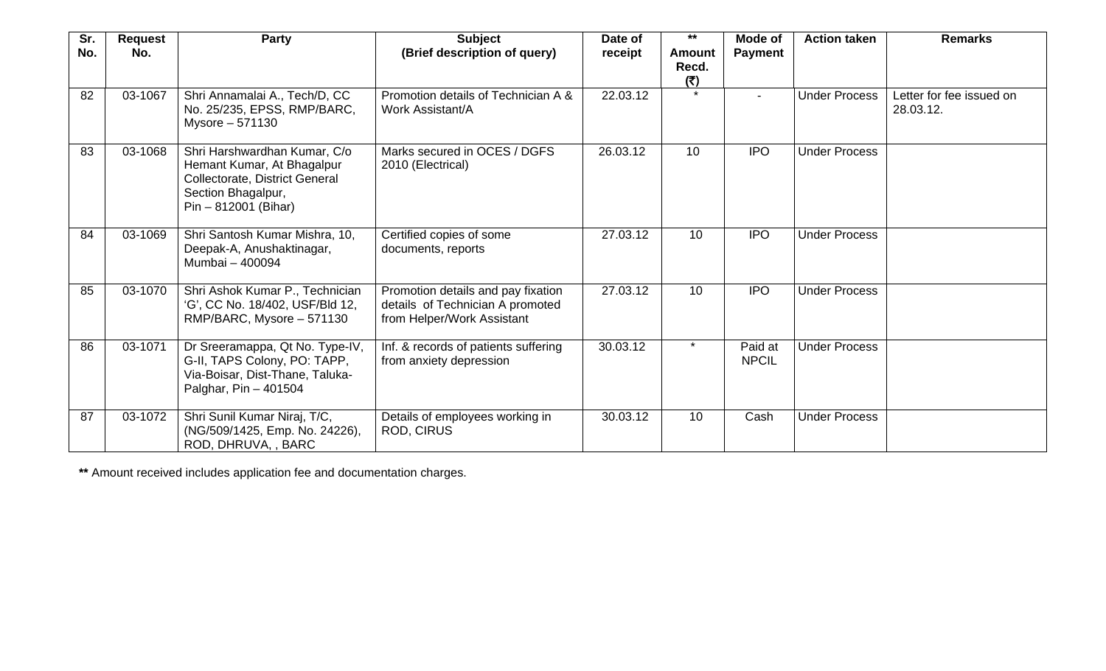| Sr.<br>No. | <b>Request</b><br>No. | Party                                                                                                                                        | <b>Subject</b><br>(Brief description of query)                                                       | Date of<br>receipt | $***$<br>Amount<br>Recd. | Mode of<br><b>Payment</b> | <b>Action taken</b>  | <b>Remarks</b>                        |
|------------|-----------------------|----------------------------------------------------------------------------------------------------------------------------------------------|------------------------------------------------------------------------------------------------------|--------------------|--------------------------|---------------------------|----------------------|---------------------------------------|
| 82         | 03-1067               | Shri Annamalai A., Tech/D, CC<br>No. 25/235, EPSS, RMP/BARC,<br>Mysore - 571130                                                              | Promotion details of Technician A &<br>Work Assistant/A                                              | 22.03.12           | (5)<br>$\star$           |                           | <b>Under Process</b> | Letter for fee issued on<br>28.03.12. |
| 83         | 03-1068               | Shri Harshwardhan Kumar, C/o<br>Hemant Kumar, At Bhagalpur<br>Collectorate, District General<br>Section Bhagalpur,<br>$Pin - 812001$ (Bihar) | Marks secured in OCES / DGFS<br>2010 (Electrical)                                                    | 26.03.12           | 10                       | <b>IPO</b>                | <b>Under Process</b> |                                       |
| 84         | 03-1069               | Shri Santosh Kumar Mishra, 10,<br>Deepak-A, Anushaktinagar,<br>Mumbai - 400094                                                               | Certified copies of some<br>documents, reports                                                       | 27.03.12           | 10                       | <b>IPO</b>                | <b>Under Process</b> |                                       |
| 85         | 03-1070               | Shri Ashok Kumar P., Technician<br>'G', CC No. 18/402, USF/Bld 12,<br>RMP/BARC, Mysore - 571130                                              | Promotion details and pay fixation<br>details of Technician A promoted<br>from Helper/Work Assistant | 27.03.12           | 10                       | <b>IPO</b>                | <b>Under Process</b> |                                       |
| 86         | 03-1071               | Dr Sreeramappa, Qt No. Type-IV,<br>G-II, TAPS Colony, PO: TAPP,<br>Via-Boisar, Dist-Thane, Taluka-<br>Palghar, Pin - 401504                  | Inf. & records of patients suffering<br>from anxiety depression                                      | 30.03.12           | $\star$                  | Paid at<br><b>NPCIL</b>   | <b>Under Process</b> |                                       |
| 87         | 03-1072               | Shri Sunil Kumar Niraj, T/C,<br>(NG/509/1425, Emp. No. 24226),<br>ROD, DHRUVA, , BARC                                                        | Details of employees working in<br><b>ROD, CIRUS</b>                                                 | 30.03.12           | 10                       | Cash                      | <b>Under Process</b> |                                       |

**\*\*** Amount received includes application fee and documentation charges.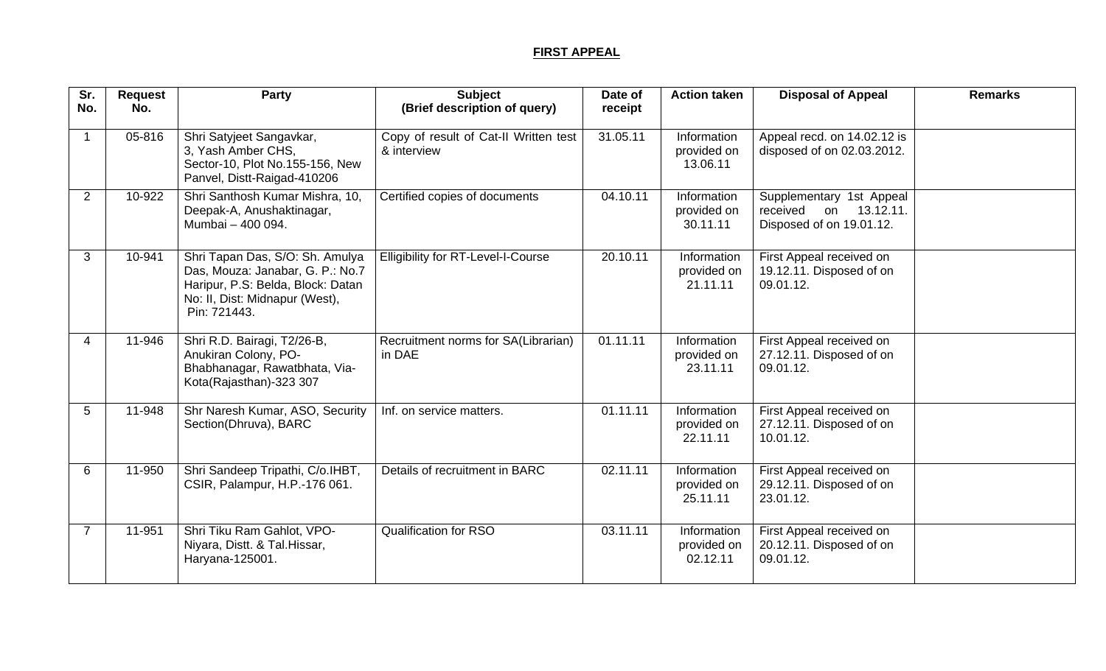## **FIRST APPEAL**

| Sr.<br>No.     | <b>Request</b><br>No. | Party                                                                                                                                                      | <b>Subject</b>                                       | Date of  | <b>Action taken</b>                    | <b>Disposal of Appeal</b>                                                        | <b>Remarks</b> |
|----------------|-----------------------|------------------------------------------------------------------------------------------------------------------------------------------------------------|------------------------------------------------------|----------|----------------------------------------|----------------------------------------------------------------------------------|----------------|
|                |                       |                                                                                                                                                            | (Brief description of query)                         | receipt  |                                        |                                                                                  |                |
| $\overline{1}$ | 05-816                | Shri Satyjeet Sangavkar,<br>3, Yash Amber CHS,<br>Sector-10, Plot No.155-156, New<br>Panvel, Distt-Raigad-410206                                           | Copy of result of Cat-II Written test<br>& interview | 31.05.11 | Information<br>provided on<br>13.06.11 | Appeal recd. on 14.02.12 is<br>disposed of on 02.03.2012.                        |                |
| $\overline{2}$ | 10-922                | Shri Santhosh Kumar Mishra, 10,<br>Deepak-A, Anushaktinagar,<br>Mumbai - 400 094.                                                                          | Certified copies of documents                        | 04.10.11 | Information<br>provided on<br>30.11.11 | Supplementary 1st Appeal<br>on 13.12.11.<br>received<br>Disposed of on 19.01.12. |                |
| 3              | 10-941                | Shri Tapan Das, S/O: Sh. Amulya<br>Das, Mouza: Janabar, G. P.: No.7<br>Haripur, P.S: Belda, Block: Datan<br>No: II, Dist: Midnapur (West),<br>Pin: 721443. | <b>Elligibility for RT-Level-I-Course</b>            | 20.10.11 | Information<br>provided on<br>21.11.11 | First Appeal received on<br>19.12.11. Disposed of on<br>09.01.12.                |                |
| 4              | 11-946                | Shri R.D. Bairagi, T2/26-B,<br>Anukiran Colony, PO-<br>Bhabhanagar, Rawatbhata, Via-<br>Kota(Rajasthan)-323 307                                            | Recruitment norms for SA(Librarian)<br>in DAE        | 01.11.11 | Information<br>provided on<br>23.11.11 | First Appeal received on<br>27.12.11. Disposed of on<br>09.01.12.                |                |
| 5              | 11-948                | Shr Naresh Kumar, ASO, Security<br>Section(Dhruva), BARC                                                                                                   | Inf. on service matters.                             | 01.11.11 | Information<br>provided on<br>22.11.11 | First Appeal received on<br>27.12.11. Disposed of on<br>10.01.12.                |                |
| 6              | 11-950                | Shri Sandeep Tripathi, C/o.IHBT,<br>CSIR, Palampur, H.P.-176 061.                                                                                          | Details of recruitment in BARC                       | 02.11.11 | Information<br>provided on<br>25.11.11 | First Appeal received on<br>29.12.11. Disposed of on<br>23.01.12.                |                |
| $\overline{7}$ | 11-951                | Shri Tiku Ram Gahlot, VPO-<br>Niyara, Distt. & Tal. Hissar,<br>Haryana-125001.                                                                             | <b>Qualification for RSO</b>                         | 03.11.11 | Information<br>provided on<br>02.12.11 | First Appeal received on<br>20.12.11. Disposed of on<br>09.01.12.                |                |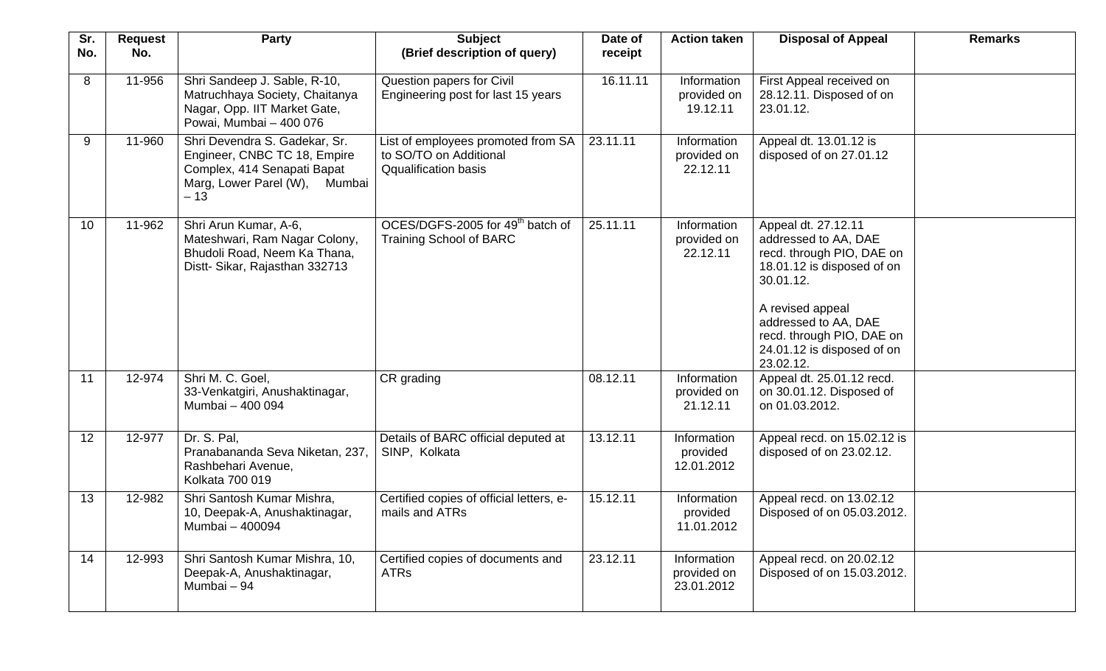| Sr.<br>No.      | <b>Request</b><br>No. | Party                                                                                                                                     | <b>Subject</b><br>(Brief description of query)                                              | Date of<br>receipt | <b>Action taken</b>                      | <b>Disposal of Appeal</b>                                                                                                                                                                                                               | <b>Remarks</b> |
|-----------------|-----------------------|-------------------------------------------------------------------------------------------------------------------------------------------|---------------------------------------------------------------------------------------------|--------------------|------------------------------------------|-----------------------------------------------------------------------------------------------------------------------------------------------------------------------------------------------------------------------------------------|----------------|
| 8               | 11-956                | Shri Sandeep J. Sable, R-10,<br>Matruchhaya Society, Chaitanya<br>Nagar, Opp. IIT Market Gate,<br>Powai, Mumbai - 400 076                 | Question papers for Civil<br>Engineering post for last 15 years                             | 16.11.11           | Information<br>provided on<br>19.12.11   | First Appeal received on<br>28.12.11. Disposed of on<br>23.01.12.                                                                                                                                                                       |                |
| 9               | 11-960                | Shri Devendra S. Gadekar, Sr.<br>Engineer, CNBC TC 18, Empire<br>Complex, 414 Senapati Bapat<br>Marg, Lower Parel (W),<br>Mumbai<br>$-13$ | List of employees promoted from SA<br>to SO/TO on Additional<br><b>Qqualification basis</b> | 23.11.11           | Information<br>provided on<br>22.12.11   | Appeal dt. 13.01.12 is<br>disposed of on 27.01.12                                                                                                                                                                                       |                |
| 10 <sup>1</sup> | 11-962                | Shri Arun Kumar, A-6,<br>Mateshwari, Ram Nagar Colony,<br>Bhudoli Road, Neem Ka Thana,<br>Distt- Sikar, Rajasthan 332713                  | OCES/DGFS-2005 for 49 <sup>th</sup> batch of<br><b>Training School of BARC</b>              | 25.11.11           | Information<br>provided on<br>22.12.11   | Appeal dt. 27.12.11<br>addressed to AA, DAE<br>recd. through PIO, DAE on<br>18.01.12 is disposed of on<br>30.01.12.<br>A revised appeal<br>addressed to AA, DAE<br>recd. through PIO, DAE on<br>24.01.12 is disposed of on<br>23.02.12. |                |
| 11              | 12-974                | Shri M. C. Goel,<br>33-Venkatgiri, Anushaktinagar,<br>Mumbai - 400 094                                                                    | CR grading                                                                                  | 08.12.11           | Information<br>provided on<br>21.12.11   | Appeal dt. 25.01.12 recd.<br>on 30.01.12. Disposed of<br>on 01.03.2012.                                                                                                                                                                 |                |
| 12              | 12-977                | Dr. S. Pal,<br>Pranabananda Seva Niketan, 237,<br>Rashbehari Avenue,<br>Kolkata 700 019                                                   | Details of BARC official deputed at<br>SINP, Kolkata                                        | 13.12.11           | Information<br>provided<br>12.01.2012    | Appeal recd. on 15.02.12 is<br>disposed of on 23.02.12.                                                                                                                                                                                 |                |
| 13              | 12-982                | Shri Santosh Kumar Mishra,<br>10, Deepak-A, Anushaktinagar,<br>Mumbai - 400094                                                            | Certified copies of official letters, e-<br>mails and ATRs                                  | 15.12.11           | Information<br>provided<br>11.01.2012    | Appeal recd. on 13.02.12<br>Disposed of on 05.03.2012.                                                                                                                                                                                  |                |
| 14              | 12-993                | Shri Santosh Kumar Mishra, 10,<br>Deepak-A, Anushaktinagar,<br>Mumbai - 94                                                                | Certified copies of documents and<br><b>ATRs</b>                                            | 23.12.11           | Information<br>provided on<br>23.01.2012 | Appeal recd. on 20.02.12<br>Disposed of on 15.03.2012.                                                                                                                                                                                  |                |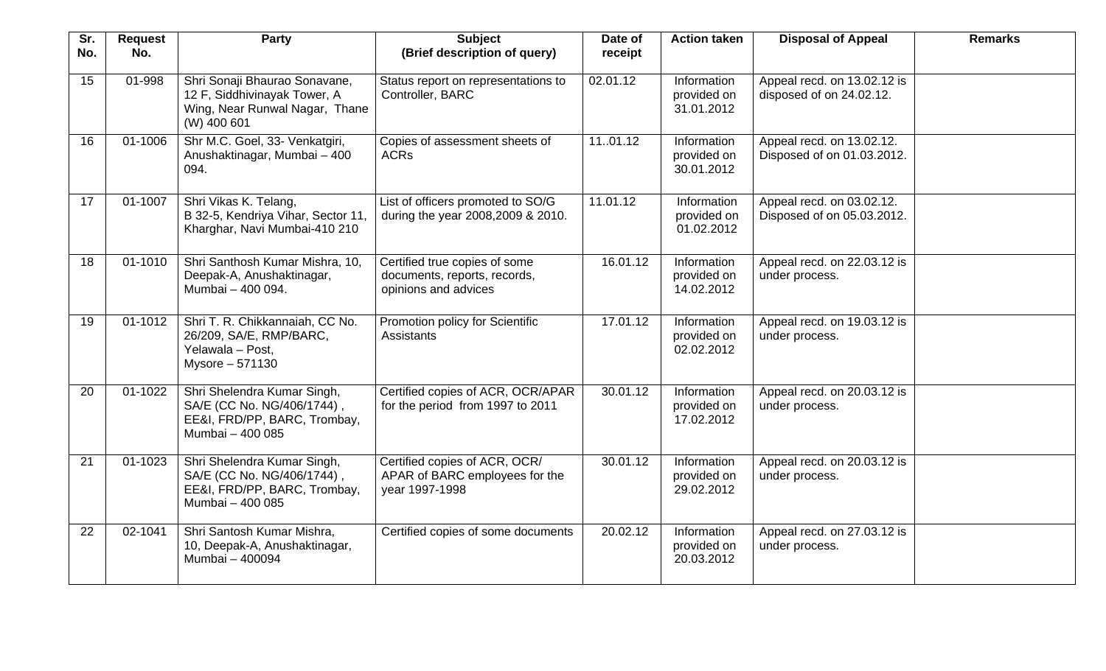| Sr.<br>No. | <b>Request</b><br>No. | <b>Party</b>                                                                                                   | <b>Subject</b><br>(Brief description of query)                                        | Date of<br>receipt | <b>Action taken</b>                      | <b>Disposal of Appeal</b>                               | <b>Remarks</b> |
|------------|-----------------------|----------------------------------------------------------------------------------------------------------------|---------------------------------------------------------------------------------------|--------------------|------------------------------------------|---------------------------------------------------------|----------------|
| 15         | 01-998                | Shri Sonaji Bhaurao Sonavane,<br>12 F, Siddhivinayak Tower, A<br>Wing, Near Runwal Nagar, Thane<br>(W) 400 601 | Status report on representations to<br>Controller, BARC                               | 02.01.12           | Information<br>provided on<br>31.01.2012 | Appeal recd. on 13.02.12 is<br>disposed of on 24.02.12. |                |
| 16         | 01-1006               | Shr M.C. Goel, 33- Venkatgiri,<br>Anushaktinagar, Mumbai - 400<br>094.                                         | Copies of assessment sheets of<br><b>ACRs</b>                                         | 1101.12            | Information<br>provided on<br>30.01.2012 | Appeal recd. on 13.02.12.<br>Disposed of on 01.03.2012. |                |
| 17         | 01-1007               | Shri Vikas K. Telang,<br>B 32-5, Kendriya Vihar, Sector 11,<br>Kharghar, Navi Mumbai-410 210                   | List of officers promoted to SO/G<br>during the year 2008, 2009 & 2010.               | 11.01.12           | Information<br>provided on<br>01.02.2012 | Appeal recd. on 03.02.12.<br>Disposed of on 05.03.2012. |                |
| 18         | 01-1010               | Shri Santhosh Kumar Mishra, 10,<br>Deepak-A, Anushaktinagar,<br>Mumbai - 400 094.                              | Certified true copies of some<br>documents, reports, records,<br>opinions and advices | 16.01.12           | Information<br>provided on<br>14.02.2012 | Appeal recd. on 22.03.12 is<br>under process.           |                |
| 19         | 01-1012               | Shri T. R. Chikkannaiah, CC No.<br>26/209, SA/E, RMP/BARC,<br>Yelawala - Post,<br>Mysore - 571130              | Promotion policy for Scientific<br><b>Assistants</b>                                  | 17.01.12           | Information<br>provided on<br>02.02.2012 | Appeal recd. on 19.03.12 is<br>under process.           |                |
| 20         | $01 - 1022$           | Shri Shelendra Kumar Singh,<br>SA/E (CC No. NG/406/1744),<br>EE&I, FRD/PP, BARC, Trombay,<br>Mumbai - 400 085  | Certified copies of ACR, OCR/APAR<br>for the period from 1997 to 2011                 | 30.01.12           | Information<br>provided on<br>17.02.2012 | Appeal recd. on 20.03.12 is<br>under process.           |                |
| 21         | 01-1023               | Shri Shelendra Kumar Singh,<br>SA/E (CC No. NG/406/1744),<br>EE&I, FRD/PP, BARC, Trombay,<br>Mumbai - 400 085  | Certified copies of ACR, OCR/<br>APAR of BARC employees for the<br>year 1997-1998     | 30.01.12           | Information<br>provided on<br>29.02.2012 | Appeal recd. on 20.03.12 is<br>under process.           |                |
| 22         | 02-1041               | Shri Santosh Kumar Mishra,<br>10, Deepak-A, Anushaktinagar,<br>Mumbai - 400094                                 | Certified copies of some documents                                                    | 20.02.12           | Information<br>provided on<br>20.03.2012 | Appeal recd. on 27.03.12 is<br>under process.           |                |